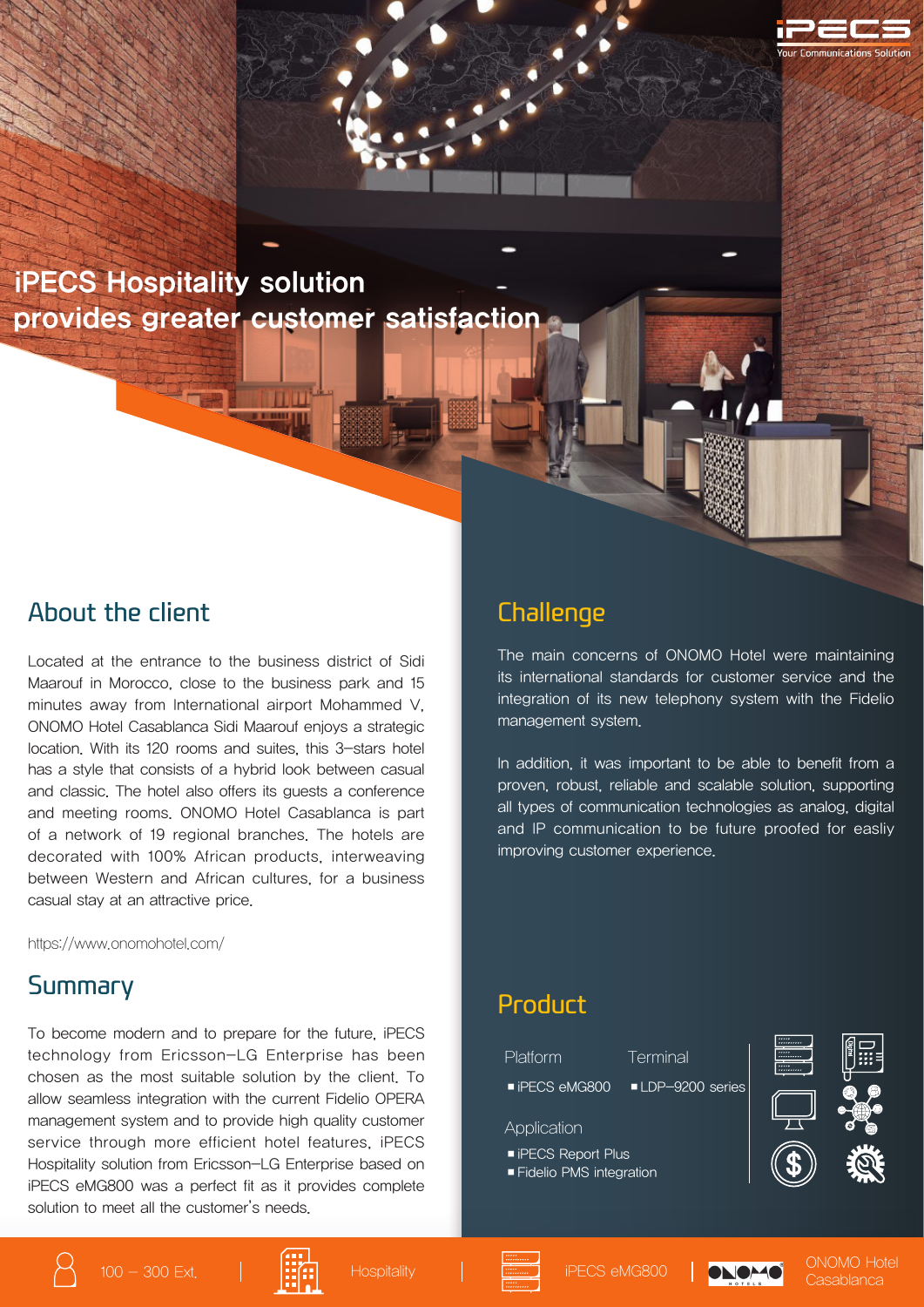iPECS Hospitality solution provides greater customer satisfaction

### About the client

Located at the entrance to the business district of Sidi Maarouf in Morocco, close to the business park and 15 minutes away from International airport Mohammed V, ONOMO Hotel Casablanca Sidi Maarouf enjoys a strategic location. With its 120 rooms and suites, this 3-stars hotel has a style that consists of a hybrid look between casual and classic. The hotel also offers its guests a conference and meeting rooms. ONOMO Hotel Casablanca is part of a network of 19 regional branches. The hotels are decorated with 100% African products, interweaving between Western and African cultures, for a business casual stay at an attractive price.

https://www.onomohotel.com/

#### Summary

To become modern and to prepare for the future, iPECS technology from Ericsson-LG Enterprise has been chosen as the most suitable solution by the client. To allow seamless integration with the current Fidelio OPERA management system and to provide high quality customer service through more efficient hotel features, iPECS Hospitality solution from Ericsson-LG Enterprise based on iPECS eMG800 was a perfect fit as it provides complete solution to meet all the customer's needs.

## **Challenge**

The main concerns of ONOMO Hotel were maintaining its international standards for customer service and the integration of its new telephony system with the Fidelio management system.

In addition, it was important to be able to benefit from a proven, robust, reliable and scalable solution, supporting all types of communication technologies as analog, digital and IP communication to be future proofed for easliy improving customer experience.

#### Product

Platform Terminal ■ iPECS eMG800 ■ LDP-9200 series ■ iPECS Report Plus ■ Fidelio PMS integration Application









100 - 300 Ext. Hospitality iPECS eMG800 ONOMO Hotel **Casablanca**